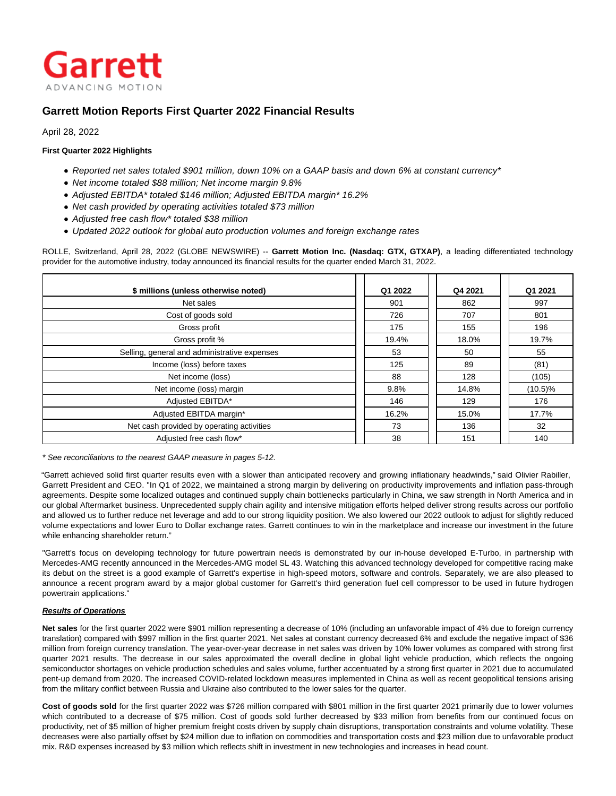

# **Garrett Motion Reports First Quarter 2022 Financial Results**

April 28, 2022

## **First Quarter 2022 Highlights**

- Reported net sales totaled \$901 million, down 10% on a GAAP basis and down 6% at constant currency\*
- Net income totaled \$88 million; Net income margin 9.8%
- Adjusted EBITDA\* totaled \$146 million; Adjusted EBITDA margin\* 16.2%
- Net cash provided by operating activities totaled \$73 million
- Adjusted free cash flow\* totaled \$38 million
- Updated 2022 outlook for global auto production volumes and foreign exchange rates

ROLLE, Switzerland, April 28, 2022 (GLOBE NEWSWIRE) -- **Garrett Motion Inc. (Nasdaq: GTX, GTXAP)**, a leading differentiated technology provider for the automotive industry, today announced its financial results for the quarter ended March 31, 2022.

| \$ millions (unless otherwise noted)         | Q1 2022 | Q4 2021 | Q1 2021    |
|----------------------------------------------|---------|---------|------------|
| Net sales                                    | 901     | 862     | 997        |
| Cost of goods sold                           | 726     | 707     | 801        |
| Gross profit                                 | 175     | 155     | 196        |
| Gross profit %                               | 19.4%   | 18.0%   | 19.7%      |
| Selling, general and administrative expenses | 53      | 50      | 55         |
| Income (loss) before taxes                   | 125     | 89      | (81)       |
| Net income (loss)                            | 88      | 128     | (105)      |
| Net income (loss) margin                     | 9.8%    | 14.8%   | $(10.5)\%$ |
| Adjusted EBITDA*                             | 146     | 129     | 176        |
| Adjusted EBITDA margin*                      | 16.2%   | 15.0%   | 17.7%      |
| Net cash provided by operating activities    | 73      | 136     | 32         |
| Adjusted free cash flow*                     | 38      | 151     | 140        |

\* See reconciliations to the nearest GAAP measure in pages 5-12.

"Garrett achieved solid first quarter results even with a slower than anticipated recovery and growing inflationary headwinds," said Olivier Rabiller, Garrett President and CEO. "In Q1 of 2022, we maintained a strong margin by delivering on productivity improvements and inflation pass-through agreements. Despite some localized outages and continued supply chain bottlenecks particularly in China, we saw strength in North America and in our global Aftermarket business. Unprecedented supply chain agility and intensive mitigation efforts helped deliver strong results across our portfolio and allowed us to further reduce net leverage and add to our strong liquidity position. We also lowered our 2022 outlook to adjust for slightly reduced volume expectations and lower Euro to Dollar exchange rates. Garrett continues to win in the marketplace and increase our investment in the future while enhancing shareholder return."

"Garrett's focus on developing technology for future powertrain needs is demonstrated by our in-house developed E-Turbo, in partnership with Mercedes-AMG recently announced in the Mercedes-AMG model SL 43. Watching this advanced technology developed for competitive racing make its debut on the street is a good example of Garrett's expertise in high-speed motors, software and controls. Separately, we are also pleased to announce a recent program award by a major global customer for Garrett's third generation fuel cell compressor to be used in future hydrogen powertrain applications."

### **Results of Operations**

**Net sales** for the first quarter 2022 were \$901 million representing a decrease of 10% (including an unfavorable impact of 4% due to foreign currency translation) compared with \$997 million in the first quarter 2021. Net sales at constant currency decreased 6% and exclude the negative impact of \$36 million from foreign currency translation. The year-over-year decrease in net sales was driven by 10% lower volumes as compared with strong first quarter 2021 results. The decrease in our sales approximated the overall decline in global light vehicle production, which reflects the ongoing semiconductor shortages on vehicle production schedules and sales volume, further accentuated by a strong first quarter in 2021 due to accumulated pent-up demand from 2020. The increased COVID-related lockdown measures implemented in China as well as recent geopolitical tensions arising from the military conflict between Russia and Ukraine also contributed to the lower sales for the quarter.

**Cost of goods sold** for the first quarter 2022 was \$726 million compared with \$801 million in the first quarter 2021 primarily due to lower volumes which contributed to a decrease of \$75 million. Cost of goods sold further decreased by \$33 million from benefits from our continued focus on productivity, net of \$5 million of higher premium freight costs driven by supply chain disruptions, transportation constraints and volume volatility. These decreases were also partially offset by \$24 million due to inflation on commodities and transportation costs and \$23 million due to unfavorable product mix. R&D expenses increased by \$3 million which reflects shift in investment in new technologies and increases in head count.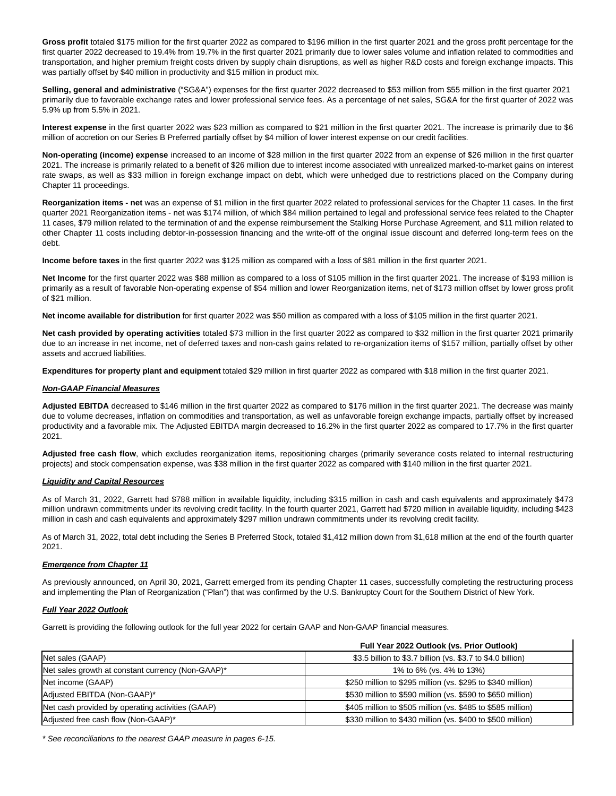**Gross profit** totaled \$175 million for the first quarter 2022 as compared to \$196 million in the first quarter 2021 and the gross profit percentage for the first quarter 2022 decreased to 19.4% from 19.7% in the first quarter 2021 primarily due to lower sales volume and inflation related to commodities and transportation, and higher premium freight costs driven by supply chain disruptions, as well as higher R&D costs and foreign exchange impacts. This was partially offset by \$40 million in productivity and \$15 million in product mix.

**Selling, general and administrative** ("SG&A") expenses for the first quarter 2022 decreased to \$53 million from \$55 million in the first quarter 2021 primarily due to favorable exchange rates and lower professional service fees. As a percentage of net sales, SG&A for the first quarter of 2022 was 5.9% up from 5.5% in 2021.

**Interest expense** in the first quarter 2022 was \$23 million as compared to \$21 million in the first quarter 2021. The increase is primarily due to \$6 million of accretion on our Series B Preferred partially offset by \$4 million of lower interest expense on our credit facilities.

**Non-operating (income) expense** increased to an income of \$28 million in the first quarter 2022 from an expense of \$26 million in the first quarter 2021. The increase is primarily related to a benefit of \$26 million due to interest income associated with unrealized marked-to-market gains on interest rate swaps, as well as \$33 million in foreign exchange impact on debt, which were unhedged due to restrictions placed on the Company during Chapter 11 proceedings.

**Reorganization items - net** was an expense of \$1 million in the first quarter 2022 related to professional services for the Chapter 11 cases. In the first quarter 2021 Reorganization items - net was \$174 million, of which \$84 million pertained to legal and professional service fees related to the Chapter 11 cases, \$79 million related to the termination of and the expense reimbursement the Stalking Horse Purchase Agreement, and \$11 million related to other Chapter 11 costs including debtor-in-possession financing and the write-off of the original issue discount and deferred long-term fees on the debt.

**Income before taxes** in the first quarter 2022 was \$125 million as compared with a loss of \$81 million in the first quarter 2021.

**Net Income** for the first quarter 2022 was \$88 million as compared to a loss of \$105 million in the first quarter 2021. The increase of \$193 million is primarily as a result of favorable Non-operating expense of \$54 million and lower Reorganization items, net of \$173 million offset by lower gross profit of \$21 million.

**Net income available for distribution** for first quarter 2022 was \$50 million as compared with a loss of \$105 million in the first quarter 2021.

**Net cash provided by operating activities** totaled \$73 million in the first quarter 2022 as compared to \$32 million in the first quarter 2021 primarily due to an increase in net income, net of deferred taxes and non-cash gains related to re-organization items of \$157 million, partially offset by other assets and accrued liabilities.

**Expenditures for property plant and equipment** totaled \$29 million in first quarter 2022 as compared with \$18 million in the first quarter 2021.

### **Non-GAAP Financial Measures**

**Adjusted EBITDA** decreased to \$146 million in the first quarter 2022 as compared to \$176 million in the first quarter 2021. The decrease was mainly due to volume decreases, inflation on commodities and transportation, as well as unfavorable foreign exchange impacts, partially offset by increased productivity and a favorable mix. The Adjusted EBITDA margin decreased to 16.2% in the first quarter 2022 as compared to 17.7% in the first quarter 2021.

**Adjusted free cash flow**, which excludes reorganization items, repositioning charges (primarily severance costs related to internal restructuring projects) and stock compensation expense, was \$38 million in the first quarter 2022 as compared with \$140 million in the first quarter 2021.

#### **Liquidity and Capital Resources**

As of March 31, 2022, Garrett had \$788 million in available liquidity, including \$315 million in cash and cash equivalents and approximately \$473 million undrawn commitments under its revolving credit facility. In the fourth quarter 2021, Garrett had \$720 million in available liquidity, including \$423 million in cash and cash equivalents and approximately \$297 million undrawn commitments under its revolving credit facility.

As of March 31, 2022, total debt including the Series B Preferred Stock, totaled \$1,412 million down from \$1,618 million at the end of the fourth quarter 2021.

### **Emergence from Chapter 11**

As previously announced, on April 30, 2021, Garrett emerged from its pending Chapter 11 cases, successfully completing the restructuring process and implementing the Plan of Reorganization ("Plan") that was confirmed by the U.S. Bankruptcy Court for the Southern District of New York.

### **Full Year 2022 Outlook**

Garrett is providing the following outlook for the full year 2022 for certain GAAP and Non-GAAP financial measures.

|                                                   | Full Year 2022 Outlook (vs. Prior Outlook)                  |
|---------------------------------------------------|-------------------------------------------------------------|
| Net sales (GAAP)                                  | \$3.5 billion to \$3.7 billion (vs. \$3.7 to \$4.0 billion) |
| Net sales growth at constant currency (Non-GAAP)* | 1% to 6% (vs. 4% to 13%)                                    |
| Net income (GAAP)                                 | \$250 million to \$295 million (vs. \$295 to \$340 million) |
| Adjusted EBITDA (Non-GAAP)*                       | \$530 million to \$590 million (vs. \$590 to \$650 million) |
| Net cash provided by operating activities (GAAP)  | \$405 million to \$505 million (vs. \$485 to \$585 million) |
| Adjusted free cash flow (Non-GAAP)*               | \$330 million to \$430 million (vs. \$400 to \$500 million) |

\* See reconciliations to the nearest GAAP measure in pages 6-15.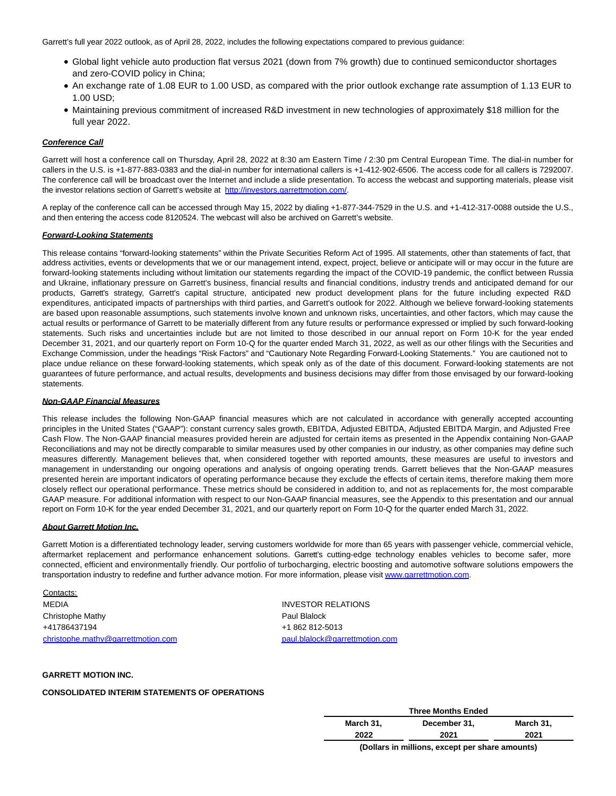Garrett's full year 2022 outlook, as of April 28, 2022, includes the following expectations compared to previous guidance:

- Global light vehicle auto production flat versus 2021 (down from 7% growth) due to continued semiconductor shortages and zero-COVID policy in China;
- An exchange rate of 1.08 EUR to 1.00 USD, as compared with the prior outlook exchange rate assumption of 1.13 EUR to 1.00 USD;
- Maintaining previous commitment of increased R&D investment in new technologies of approximately \$18 million for the full year 2022.

### **Conference Call**

Garrett will host a conference call on Thursday, April 28, 2022 at 8:30 am Eastern Time / 2:30 pm Central European Time. The dial-in number for callers in the U.S. is +1-877-883-0383 and the dial-in number for international callers is +1-412-902-6506. The access code for all callers is 7292007. The conference call will be broadcast over the Internet and include a slide presentation. To access the webcast and supporting materials, please visit the investor relations section of Garrett's website at [http://investors.garrettmotion.com/.](https://www.globenewswire.com/Tracker?data=i6qmpuczPXCoFSqylCVhHq_KgbjYc48s7ypbYMXJJ8YxT5N9rm2FQcQhEocL-sKfPr1DQHIuE6NiMiXADNC7R_dt5j0rOECgpmUbfCprRlcx6BZSR-ASXe5OG7AfBekv)

A replay of the conference call can be accessed through May 15, 2022 by dialing +1-877-344-7529 in the U.S. and +1-412-317-0088 outside the U.S., and then entering the access code 8120524. The webcast will also be archived on Garrett's website.

### **Forward-Looking Statements**

This release contains "forward-looking statements" within the Private Securities Reform Act of 1995. All statements, other than statements of fact, that address activities, events or developments that we or our management intend, expect, project, believe or anticipate will or may occur in the future are forward-looking statements including without limitation our statements regarding the impact of the COVID-19 pandemic, the conflict between Russia and Ukraine, inflationary pressure on Garrett's business, financial results and financial conditions, industry trends and anticipated demand for our products, Garrett's strategy, Garrett's capital structure, anticipated new product development plans for the future including expected R&D expenditures, anticipated impacts of partnerships with third parties, and Garrett's outlook for 2022. Although we believe forward-looking statements are based upon reasonable assumptions, such statements involve known and unknown risks, uncertainties, and other factors, which may cause the actual results or performance of Garrett to be materially different from any future results or performance expressed or implied by such forward-looking statements. Such risks and uncertainties include but are not limited to those described in our annual report on Form 10-K for the year ended December 31, 2021, and our quarterly report on Form 10-Q for the quarter ended March 31, 2022, as well as our other filings with the Securities and Exchange Commission, under the headings "Risk Factors" and "Cautionary Note Regarding Forward-Looking Statements." You are cautioned not to place undue reliance on these forward-looking statements, which speak only as of the date of this document. Forward-looking statements are not guarantees of future performance, and actual results, developments and business decisions may differ from those envisaged by our forward-looking statements.

#### **Non-GAAP Financial Measures**

This release includes the following Non-GAAP financial measures which are not calculated in accordance with generally accepted accounting principles in the United States ("GAAP"): constant currency sales growth, EBITDA, Adjusted EBITDA, Adjusted EBITDA Margin, and Adjusted Free Cash Flow. The Non-GAAP financial measures provided herein are adjusted for certain items as presented in the Appendix containing Non-GAAP Reconciliations and may not be directly comparable to similar measures used by other companies in our industry, as other companies may define such measures differently. Management believes that, when considered together with reported amounts, these measures are useful to investors and management in understanding our ongoing operations and analysis of ongoing operating trends. Garrett believes that the Non-GAAP measures presented herein are important indicators of operating performance because they exclude the effects of certain items, therefore making them more closely reflect our operational performance. These metrics should be considered in addition to, and not as replacements for, the most comparable GAAP measure. For additional information with respect to our Non-GAAP financial measures, see the Appendix to this presentation and our annual report on Form 10-K for the year ended December 31, 2021, and our quarterly report on Form 10-Q for the quarter ended March 31, 2022.

#### **About Garrett Motion Inc.**

Garrett Motion is a differentiated technology leader, serving customers worldwide for more than 65 years with passenger vehicle, commercial vehicle, aftermarket replacement and performance enhancement solutions. Garrett's cutting-edge technology enables vehicles to become safer, more connected, efficient and environmentally friendly. Our portfolio of turbocharging, electric boosting and automotive software solutions empowers the transportation industry to redefine and further advance motion. For more information, please visit [www.garrettmotion.com.](https://www.globenewswire.com/Tracker?data=X_TdC2cwgqehXeNvJTHopIsuvtQz6uaNrQ9ynyHhMdL3RLM2NKvMN0b-Tqvnj6pHg5t07Tsbwe90jYFBkdo5eh421fIBYInqiLYx7Xvnd1A=)

Contacts: MEDIA INVESTOR RELATIONS Christophe Mathy **Paul Blanck** Paul Blalock +41786437194 +1 862 812-5013 [christophe.mathy@garrettmotion.com](mailto:christophe.mathy@garrettmotion.com) [paul.blalock@garrettmotion.com](mailto:paul.blalock@garrettmotion.com)

### **GARRETT MOTION INC.**

### **CONSOLIDATED INTERIM STATEMENTS OF OPERATIONS**

| <b>Three Months Ended</b>                          |              |           |  |  |  |
|----------------------------------------------------|--------------|-----------|--|--|--|
| March 31,                                          | December 31. | March 31. |  |  |  |
| 2022                                               | 2021         | 2021      |  |  |  |
| $(D$ ellere in milliana, avaant nar ahara amaruta) |              |           |  |  |  |

**(Dollars in millions, except per share amounts)**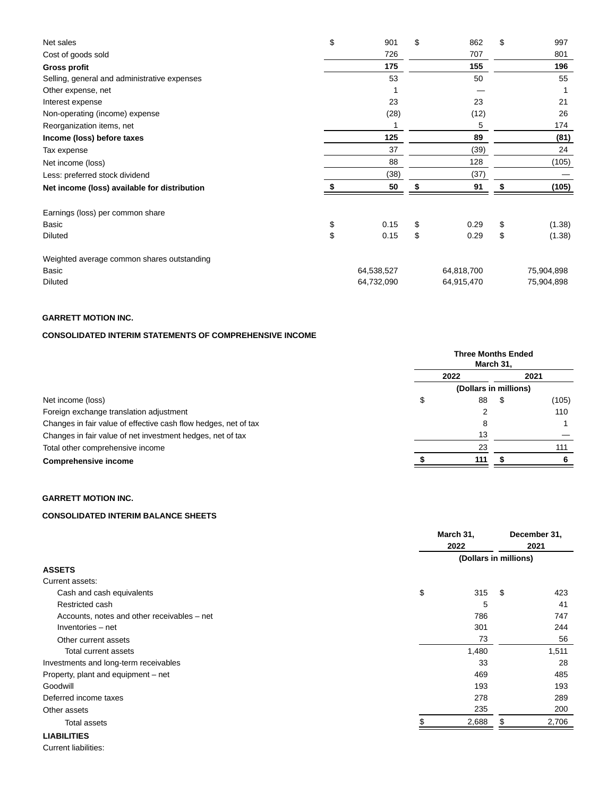| Net sales                                    | \$<br>901  | \$<br>862  | \$    | 997        |  |
|----------------------------------------------|------------|------------|-------|------------|--|
| Cost of goods sold                           | 726        | 707        |       | 801        |  |
| <b>Gross profit</b>                          | 175        | 155        |       | 196        |  |
| Selling, general and administrative expenses | 53         | 50         |       | 55         |  |
| Other expense, net                           |            |            |       |            |  |
| Interest expense                             | 23         | 23         |       | 21         |  |
| Non-operating (income) expense               | (28)       | (12)       |       | 26         |  |
| Reorganization items, net                    |            | 5          |       | 174        |  |
| Income (loss) before taxes                   | 125        | 89         |       | (81)       |  |
| Tax expense                                  | 37         | (39)       |       | 24         |  |
| Net income (loss)                            | 88         | 128        | (105) |            |  |
| Less: preferred stock dividend               | (38)       | (37)       |       |            |  |
| Net income (loss) available for distribution | 50         | 91         |       | (105)      |  |
| Earnings (loss) per common share             |            |            |       |            |  |
| Basic                                        | \$<br>0.15 | \$<br>0.29 | \$    | (1.38)     |  |
| <b>Diluted</b>                               | \$<br>0.15 | \$<br>0.29 | \$    | (1.38)     |  |
| Weighted average common shares outstanding   |            |            |       |            |  |
| Basic                                        | 64,538,527 | 64,818,700 |       | 75,904,898 |  |
| <b>Diluted</b>                               | 64,732,090 | 64,915,470 |       | 75,904,898 |  |

## **GARRETT MOTION INC.**

## **CONSOLIDATED INTERIM STATEMENTS OF COMPREHENSIVE INCOME**

|                                                                 |      | <b>Three Months Ended</b><br>March 31, |  |       |
|-----------------------------------------------------------------|------|----------------------------------------|--|-------|
|                                                                 | 2022 |                                        |  |       |
|                                                                 |      | (Dollars in millions)                  |  |       |
| Net income (loss)                                               |      | 88                                     |  | (105) |
| Foreign exchange translation adjustment                         |      | ົ                                      |  | 110   |
| Changes in fair value of effective cash flow hedges, net of tax |      | 8                                      |  |       |
| Changes in fair value of net investment hedges, net of tax      |      | 13                                     |  |       |
| Total other comprehensive income                                |      | 23                                     |  | 111   |
| <b>Comprehensive income</b>                                     |      | 111                                    |  | 6     |

# **GARRETT MOTION INC.**

## **CONSOLIDATED INTERIM BALANCE SHEETS**

|                                             | March 31,<br>2022     |    | December 31,<br>2021 |
|---------------------------------------------|-----------------------|----|----------------------|
|                                             | (Dollars in millions) |    |                      |
| <b>ASSETS</b>                               |                       |    |                      |
| Current assets:                             |                       |    |                      |
| Cash and cash equivalents                   | \$<br>315             | \$ | 423                  |
| Restricted cash                             | 5                     |    | 41                   |
| Accounts, notes and other receivables – net | 786                   |    | 747                  |
| Inventories - net                           | 301                   |    | 244                  |
| Other current assets                        | 73                    |    | 56                   |
| Total current assets                        | 1,480                 |    | 1,511                |
| Investments and long-term receivables       | 33                    |    | 28                   |
| Property, plant and equipment – net         | 469                   |    | 485                  |
| Goodwill                                    | 193                   |    | 193                  |
| Deferred income taxes                       | 278                   |    | 289                  |
| Other assets                                | 235                   |    | 200                  |
| <b>Total assets</b>                         | 2,688                 | \$ | 2,706                |
| <b>LIABILITIES</b>                          |                       |    |                      |

Current liabilities: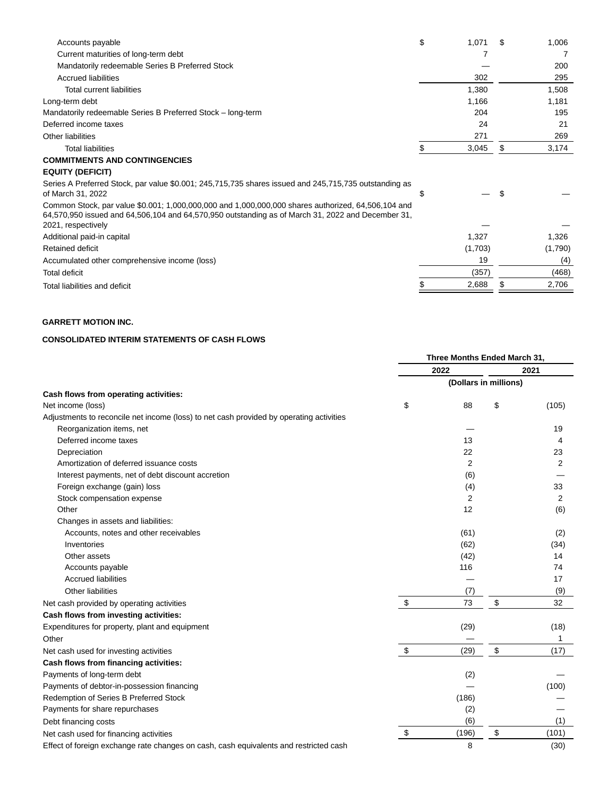| Accounts payable                                                                                                                                                                                                              | \$ | 1,071   |     | 1,006   |
|-------------------------------------------------------------------------------------------------------------------------------------------------------------------------------------------------------------------------------|----|---------|-----|---------|
| Current maturities of long-term debt                                                                                                                                                                                          |    |         |     |         |
| Mandatorily redeemable Series B Preferred Stock                                                                                                                                                                               |    |         |     | 200     |
| <b>Accrued liabilities</b>                                                                                                                                                                                                    |    | 302     |     | 295     |
| <b>Total current liabilities</b>                                                                                                                                                                                              |    | 1,380   |     | 1,508   |
| Long-term debt                                                                                                                                                                                                                |    | 1,166   |     | 1,181   |
| Mandatorily redeemable Series B Preferred Stock - long-term                                                                                                                                                                   |    | 204     |     | 195     |
| Deferred income taxes                                                                                                                                                                                                         |    | 24      |     | 21      |
| Other liabilities                                                                                                                                                                                                             |    | 271     |     | 269     |
| <b>Total liabilities</b>                                                                                                                                                                                                      | S  | 3,045   | \$  | 3,174   |
| <b>COMMITMENTS AND CONTINGENCIES</b>                                                                                                                                                                                          |    |         |     |         |
| <b>EQUITY (DEFICIT)</b>                                                                                                                                                                                                       |    |         |     |         |
| Series A Preferred Stock, par value \$0.001; 245,715,735 shares issued and 245,715,735 outstanding as<br>of March 31, 2022                                                                                                    | Ж  |         | \$. |         |
| Common Stock, par value \$0.001; 1,000,000,000 and 1,000,000,000 shares authorized, 64,506,104 and<br>64,570,950 issued and 64,506,104 and 64,570,950 outstanding as of March 31, 2022 and December 31,<br>2021, respectively |    |         |     |         |
| Additional paid-in capital                                                                                                                                                                                                    |    | 1,327   |     | 1,326   |
| Retained deficit                                                                                                                                                                                                              |    | (1,703) |     | (1,790) |
| Accumulated other comprehensive income (loss)                                                                                                                                                                                 |    | 19      |     | (4)     |
| <b>Total deficit</b>                                                                                                                                                                                                          |    | (357)   |     | (468)   |
| Total liabilities and deficit                                                                                                                                                                                                 |    | 2,688   |     | 2,706   |
|                                                                                                                                                                                                                               |    |         |     |         |

## **GARRETT MOTION INC.**

## **CONSOLIDATED INTERIM STATEMENTS OF CASH FLOWS**

|                                                                                         | Three Months Ended March 31, |                |                       |                |
|-----------------------------------------------------------------------------------------|------------------------------|----------------|-----------------------|----------------|
|                                                                                         |                              | 2022           |                       | 2021           |
|                                                                                         |                              |                | (Dollars in millions) |                |
| Cash flows from operating activities:                                                   |                              |                |                       |                |
| Net income (loss)                                                                       | \$                           | 88             | \$                    | (105)          |
| Adjustments to reconcile net income (loss) to net cash provided by operating activities |                              |                |                       |                |
| Reorganization items, net                                                               |                              |                |                       | 19             |
| Deferred income taxes                                                                   |                              | 13             |                       | 4              |
| Depreciation                                                                            |                              | 22             |                       | 23             |
| Amortization of deferred issuance costs                                                 |                              | $\overline{2}$ |                       | 2              |
| Interest payments, net of debt discount accretion                                       |                              | (6)            |                       |                |
| Foreign exchange (gain) loss                                                            |                              | (4)            |                       | 33             |
| Stock compensation expense                                                              |                              | 2              |                       | $\overline{2}$ |
| Other                                                                                   |                              | 12             |                       | (6)            |
| Changes in assets and liabilities:                                                      |                              |                |                       |                |
| Accounts, notes and other receivables                                                   |                              | (61)           |                       | (2)            |
| Inventories                                                                             |                              | (62)           |                       | (34)           |
| Other assets                                                                            |                              | (42)           |                       | 14             |
| Accounts payable                                                                        |                              | 116            |                       | 74             |
| <b>Accrued liabilities</b>                                                              |                              |                |                       | 17             |
| <b>Other liabilities</b>                                                                |                              | (7)            |                       | (9)            |
| Net cash provided by operating activities                                               | \$                           | 73             | \$                    | 32             |
| Cash flows from investing activities:                                                   |                              |                |                       |                |
| Expenditures for property, plant and equipment                                          |                              | (29)           |                       | (18)           |
| Other                                                                                   |                              |                |                       | 1              |
| Net cash used for investing activities                                                  | $\,$                         | (29)           | \$                    | (17)           |
| Cash flows from financing activities:                                                   |                              |                |                       |                |
| Payments of long-term debt                                                              |                              | (2)            |                       |                |
| Payments of debtor-in-possession financing                                              |                              |                |                       | (100)          |
| Redemption of Series B Preferred Stock                                                  |                              | (186)          |                       |                |
| Payments for share repurchases                                                          |                              | (2)            |                       |                |
| Debt financing costs                                                                    |                              | (6)            |                       | (1)            |
| Net cash used for financing activities                                                  | \$                           | (196)          | \$                    | (101)          |
| Effect of foreign exchange rate changes on cash, cash equivalents and restricted cash   |                              | 8              |                       | (30)           |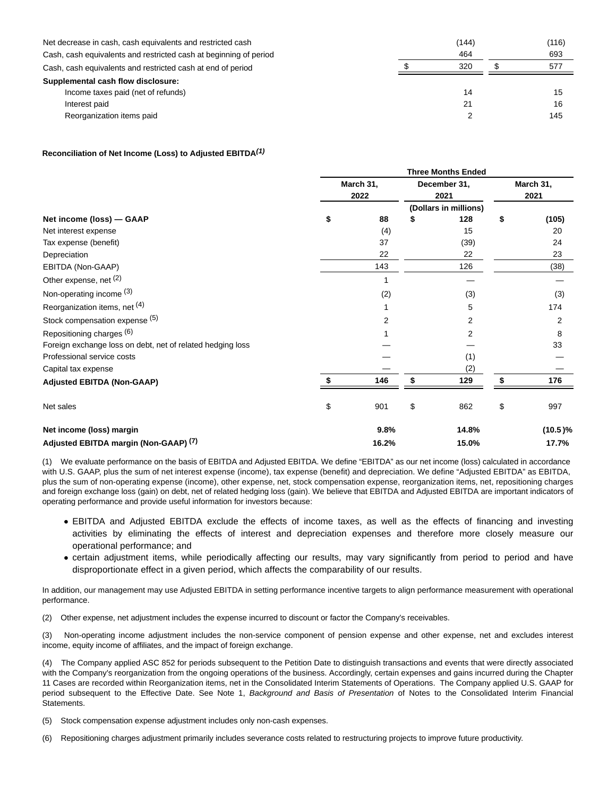| Net decrease in cash, cash equivalents and restricted cash        | (144)<br>464 | (116) |
|-------------------------------------------------------------------|--------------|-------|
| Cash, cash equivalents and restricted cash at beginning of period |              | 693   |
| Cash, cash equivalents and restricted cash at end of period       | 320          | 577   |
| Supplemental cash flow disclosure:                                |              |       |
| Income taxes paid (net of refunds)                                | 14           | 15    |
| Interest paid                                                     | 21           | 16    |
| Reorganization items paid                                         |              | 145   |

### **Reconciliation of Net Income (Loss) to Adjusted EBITDA(1)**

|                                                            | <b>Three Months Ended</b> |                   |    |                       |    |                   |  |
|------------------------------------------------------------|---------------------------|-------------------|----|-----------------------|----|-------------------|--|
|                                                            |                           | March 31,<br>2022 |    | December 31,<br>2021  |    | March 31,<br>2021 |  |
|                                                            |                           |                   |    | (Dollars in millions) |    |                   |  |
| Net income (loss) - GAAP                                   | \$                        | 88                | 5  | 128                   | \$ | (105)             |  |
| Net interest expense                                       |                           | (4)               |    | 15                    |    | 20                |  |
| Tax expense (benefit)                                      |                           | 37<br>22          |    | (39)                  |    | 24                |  |
| Depreciation                                               |                           |                   |    | 22                    |    | 23                |  |
| EBITDA (Non-GAAP)                                          |                           | 143               |    | 126                   |    | (38)              |  |
| Other expense, net (2)                                     |                           |                   |    |                       |    |                   |  |
| Non-operating income (3)<br>Reorganization items, net (4)  |                           | (2)               |    | (3)<br>5<br>2         |    | (3)<br>174<br>2   |  |
|                                                            |                           |                   |    |                       |    |                   |  |
| Stock compensation expense (5)                             |                           | 2                 |    |                       |    |                   |  |
| Repositioning charges (6)                                  |                           |                   |    | 2                     |    | 8                 |  |
| Foreign exchange loss on debt, net of related hedging loss |                           |                   |    |                       |    | 33                |  |
| Professional service costs                                 |                           |                   |    | (1)                   |    |                   |  |
| Capital tax expense                                        |                           |                   |    | (2)                   |    |                   |  |
| <b>Adjusted EBITDA (Non-GAAP)</b>                          | \$                        | 146               | \$ | 129                   | \$ | 176               |  |
| Net sales                                                  | \$                        | 901               | \$ | 862                   | \$ | 997               |  |
| Net income (loss) margin                                   |                           | 9.8%              |    | 14.8%                 |    | $(10.5)\%$        |  |
| Adjusted EBITDA margin (Non-GAAP) <sup>(7)</sup>           |                           | 16.2%             |    | 15.0%                 |    | 17.7%             |  |

(1) We evaluate performance on the basis of EBITDA and Adjusted EBITDA. We define "EBITDA" as our net income (loss) calculated in accordance with U.S. GAAP, plus the sum of net interest expense (income), tax expense (benefit) and depreciation. We define "Adjusted EBITDA" as EBITDA, plus the sum of non-operating expense (income), other expense, net, stock compensation expense, reorganization items, net, repositioning charges and foreign exchange loss (gain) on debt, net of related hedging loss (gain). We believe that EBITDA and Adjusted EBITDA are important indicators of operating performance and provide useful information for investors because:

- EBITDA and Adjusted EBITDA exclude the effects of income taxes, as well as the effects of financing and investing activities by eliminating the effects of interest and depreciation expenses and therefore more closely measure our operational performance; and
- certain adjustment items, while periodically affecting our results, may vary significantly from period to period and have disproportionate effect in a given period, which affects the comparability of our results.

In addition, our management may use Adjusted EBITDA in setting performance incentive targets to align performance measurement with operational performance.

(2) Other expense, net adjustment includes the expense incurred to discount or factor the Company's receivables.

(3) Non-operating income adjustment includes the non-service component of pension expense and other expense, net and excludes interest income, equity income of affiliates, and the impact of foreign exchange.

(4) The Company applied ASC 852 for periods subsequent to the Petition Date to distinguish transactions and events that were directly associated with the Company's reorganization from the ongoing operations of the business. Accordingly, certain expenses and gains incurred during the Chapter 11 Cases are recorded within Reorganization items, net in the Consolidated Interim Statements of Operations. The Company applied U.S. GAAP for period subsequent to the Effective Date. See Note 1, Background and Basis of Presentation of Notes to the Consolidated Interim Financial Statements.

(5) Stock compensation expense adjustment includes only non-cash expenses.

(6) Repositioning charges adjustment primarily includes severance costs related to restructuring projects to improve future productivity.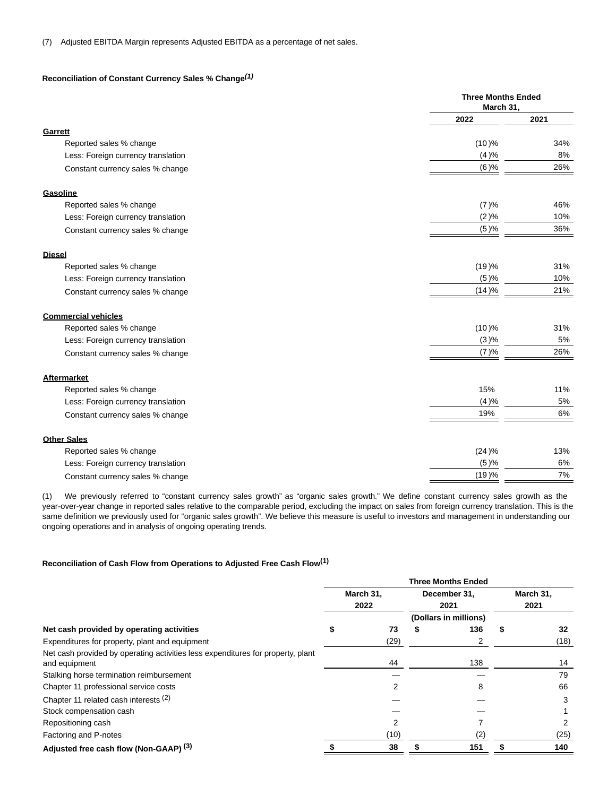### **Reconciliation of Constant Currency Sales % Change(1)**

|                                    | <b>Three Months Ended</b><br>March 31, |      |
|------------------------------------|----------------------------------------|------|
|                                    | 2022                                   | 2021 |
| Garrett                            |                                        |      |
| Reported sales % change            | (10)%                                  | 34%  |
| Less: Foreign currency translation | (4)%                                   | 8%   |
| Constant currency sales % change   | (6)%                                   | 26%  |
| Gasoline                           |                                        |      |
| Reported sales % change            | (7)%                                   | 46%  |
| Less: Foreign currency translation | (2)%                                   | 10%  |
| Constant currency sales % change   | (5)%                                   | 36%  |
| <b>Diesel</b>                      |                                        |      |
| Reported sales % change            | (19)%                                  | 31%  |
| Less: Foreign currency translation | (5)%                                   | 10%  |
| Constant currency sales % change   | (14)%                                  | 21%  |
| <b>Commercial vehicles</b>         |                                        |      |
| Reported sales % change            | (10)%                                  | 31%  |
| Less: Foreign currency translation | (3)%                                   | 5%   |
| Constant currency sales % change   | (7)%                                   | 26%  |
| <b>Aftermarket</b>                 |                                        |      |
| Reported sales % change            | 15%                                    | 11%  |
| Less: Foreign currency translation | (4)%                                   | 5%   |
| Constant currency sales % change   | 19%                                    | 6%   |
| <b>Other Sales</b>                 |                                        |      |
| Reported sales % change            | (24)%                                  | 13%  |
| Less: Foreign currency translation | (5)%                                   | 6%   |
| Constant currency sales % change   | (19)%                                  | 7%   |
|                                    |                                        |      |

(1) We previously referred to "constant currency sales growth" as "organic sales growth." We define constant currency sales growth as the year-over-year change in reported sales relative to the comparable period, excluding the impact on sales from foreign currency translation. This is the same definition we previously used for "organic sales growth". We believe this measure is useful to investors and management in understanding our ongoing operations and in analysis of ongoing operating trends.

### **Reconciliation of Cash Flow from Operations to Adjusted Free Cash Flow(1)**

|                                                                                                  | <b>Three Months Ended</b> |                   |                      |                       |   |                   |  |
|--------------------------------------------------------------------------------------------------|---------------------------|-------------------|----------------------|-----------------------|---|-------------------|--|
|                                                                                                  |                           | March 31,<br>2022 | December 31,<br>2021 |                       |   | March 31,<br>2021 |  |
|                                                                                                  |                           |                   |                      | (Dollars in millions) |   |                   |  |
| Net cash provided by operating activities                                                        |                           | 73                |                      | 136                   | S | 32                |  |
| Expenditures for property, plant and equipment                                                   |                           | (29)              |                      |                       |   | (18)              |  |
| Net cash provided by operating activities less expenditures for property, plant<br>and equipment |                           | 44                |                      | 138                   |   | 14                |  |
| Stalking horse termination reimbursement                                                         |                           |                   |                      |                       |   | 79                |  |
| Chapter 11 professional service costs                                                            |                           |                   |                      | 8                     |   | 66                |  |
| Chapter 11 related cash interests (2)                                                            |                           |                   |                      |                       |   | 3                 |  |
| Stock compensation cash                                                                          |                           |                   |                      |                       |   |                   |  |
| Repositioning cash                                                                               |                           |                   |                      |                       |   |                   |  |
| Factoring and P-notes                                                                            |                           | (10)              |                      | (2)                   |   | (25)              |  |
| Adjusted free cash flow (Non-GAAP) (3)                                                           |                           | 38                |                      | 151                   |   | 140               |  |